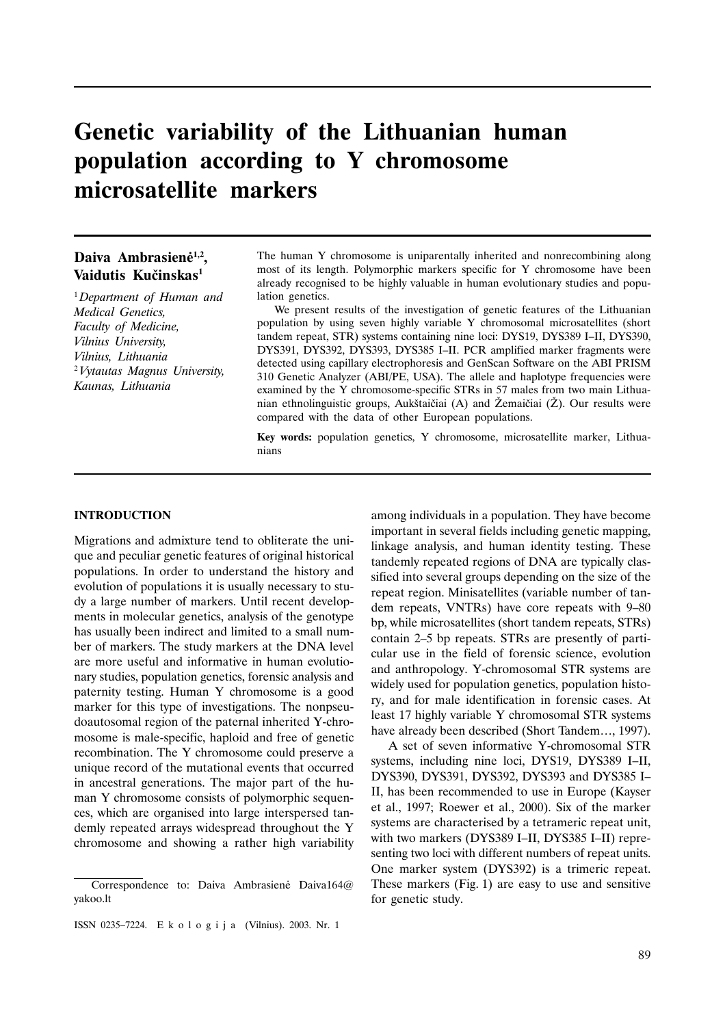# Genetic variability of the Lithuanian human population according to Y chromosome microsatellite markers

# Daiva Ambrasienė<sup>1,2</sup>, Vaidutis Kučinskas<sup>1</sup>

<sup>1</sup>Department of Human and Medical Genetics, Faculty of Medicine, Vilnius University. Vilnius, Lithuania <sup>2</sup> Vytautas Magnus University, Kaunas, Lithuania

The human Y chromosome is uniparentally inherited and nonrecombining along most of its length. Polymorphic markers specific for Y chromosome have been already recognised to be highly valuable in human evolutionary studies and population genetics.

We present results of the investigation of genetic features of the Lithuanian population by using seven highly variable Y chromosomal microsatellites (short tandem repeat, STR) systems containing nine loci: DYS19, DYS389 I-II, DYS390, DYS391, DYS392, DYS393, DYS385 I-II. PCR amplified marker fragments were detected using capillary electrophoresis and GenScan Software on the ABI PRISM 310 Genetic Analyzer (ABI/PE, USA). The allele and haplotype frequencies were examined by the Y chromosome-specific STRs in 57 males from two main Lithuanian ethnolinguistic groups, Aukštaičiai (A) and Žemaičiai (Z). Our results were compared with the data of other European populations.

Key words: population genetics, Y chromosome, microsatellite marker, Lithuanians

#### **INTRODUCTION**

Migrations and admixture tend to obliterate the unique and peculiar genetic features of original historical populations. In order to understand the history and evolution of populations it is usually necessary to study a large number of markers. Until recent developments in molecular genetics, analysis of the genotype has usually been indirect and limited to a small number of markers. The study markers at the DNA level are more useful and informative in human evolutionary studies, population genetics, forensic analysis and paternity testing. Human Y chromosome is a good marker for this type of investigations. The nonpseudoautosomal region of the paternal inherited Y-chromosome is male-specific, haploid and free of genetic recombination. The Y chromosome could preserve a unique record of the mutational events that occurred in ancestral generations. The major part of the human Y chromosome consists of polymorphic sequences, which are organised into large interspersed tandemly repeated arrays widespread throughout the Y chromosome and showing a rather high variability

among individuals in a population. They have become important in several fields including genetic mapping, linkage analysis, and human identity testing. These tandemly repeated regions of DNA are typically classified into several groups depending on the size of the repeat region. Minisatellites (variable number of tandem repeats, VNTRs) have core repeats with 9–80 bp, while microsatellites (short tandem repeats, STRs) contain 2–5 bp repeats. STRs are presently of particular use in the field of forensic science, evolution and anthropology. Y-chromosomal STR systems are widely used for population genetics, population history, and for male identification in forensic cases. At least 17 highly variable Y chromosomal STR systems have already been described (Short Tandem..., 1997).

A set of seven informative Y-chromosomal STR systems, including nine loci, DYS19, DYS389 I-II, DYS390, DYS391, DYS392, DYS393 and DYS385 I-II, has been recommended to use in Europe (Kayser et al., 1997; Roewer et al., 2000). Six of the marker systems are characterised by a tetrameric repeat unit, with two markers (DYS389 I-II, DYS385 I-II) representing two loci with different numbers of repeat units. One marker system (DYS392) is a trimeric repeat. These markers (Fig. 1) are easy to use and sensitive for genetic study.

Correspondence to: Daiva Ambrasienė Daiva164@ yakoo.lt

ISSN 0235-7224. E k o l o g i j a (Vilnius). 2003. Nr. 1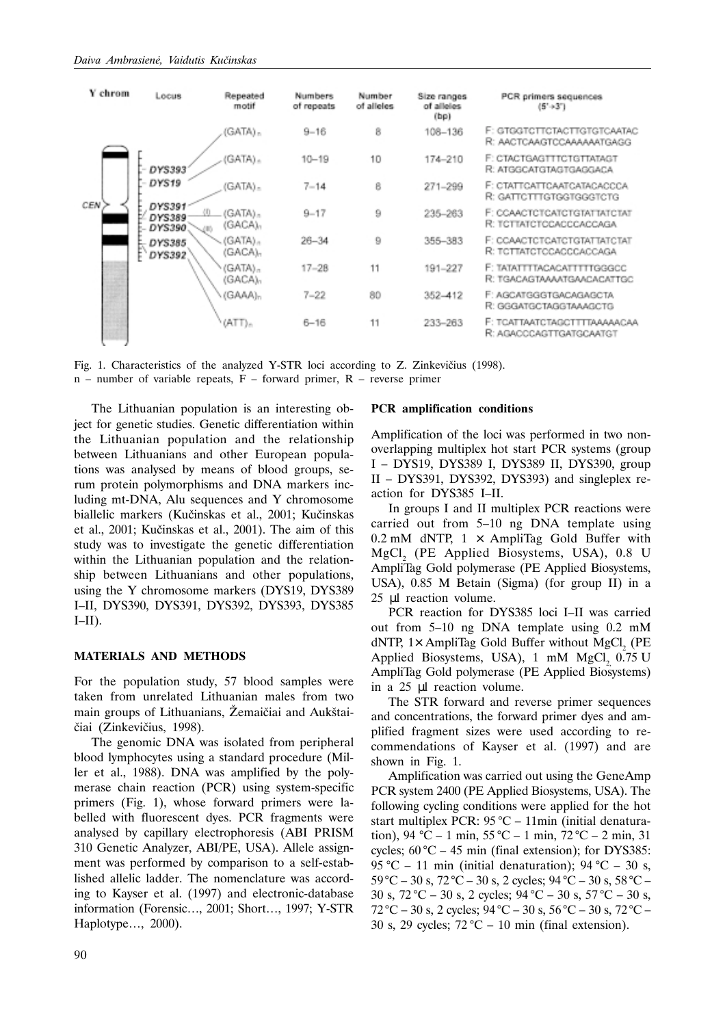

Fig. 1. Characteristics of the analyzed Y-STR loci according to Z. Zinkevičius (1998).

 $n$  – number of variable repeats, F – forward primer, R – reverse primer

The Lithuanian population is an interesting object for genetic studies. Genetic differentiation within the Lithuanian population and the relationship between Lithuanians and other European populations was analysed by means of blood groups, serum protein polymorphisms and DNA markers including mt-DNA, Alu sequences and Y chromosome biallelic markers (Kučinskas et al., 2001; Kučinskas et al., 2001: Kučinskas et al., 2001). The aim of this study was to investigate the genetic differentiation within the Lithuanian population and the relationship between Lithuanians and other populations, using the Y chromosome markers (DYS19, DYS389 I-II, DYS390, DYS391, DYS392, DYS393, DYS385  $I-II$ ).

## **MATERIALS AND METHODS**

For the population study, 57 blood samples were taken from unrelated Lithuanian males from two main groups of Lithuanians, Žemaičiai and Aukštaičiai (Zinkevičius, 1998).

The genomic DNA was isolated from peripheral blood lymphocytes using a standard procedure (Miller et al., 1988). DNA was amplified by the polymerase chain reaction (PCR) using system-specific primers (Fig. 1), whose forward primers were labelled with fluorescent dyes. PCR fragments were analysed by capillary electrophoresis (ABI PRISM 310 Genetic Analyzer, ABI/PE, USA). Allele assignment was performed by comparison to a self-established allelic ladder. The nomenclature was according to Kayser et al. (1997) and electronic-database information (Forensic..., 2001; Short..., 1997; Y-STR Haplotype..., 2000).

#### **PCR** amplification conditions

Amplification of the loci was performed in two nonoverlapping multiplex hot start PCR systems (group I – DYS19, DYS389 I, DYS389 II, DYS390, group II – DYS391, DYS392, DYS393) and singleplex reaction for DYS385 I-II.

In groups I and II multiplex PCR reactions were carried out from 5-10 ng DNA template using 0.2 mM dNTP,  $1 \times$  AmpliTag Gold Buffer with MgCl, (PE Applied Biosystems, USA), 0.8 U AmpliTag Gold polymerase (PE Applied Biosystems, USA), 0.85 M Betain (Sigma) (for group II) in a 25 µl reaction volume.

PCR reaction for DYS385 loci I-II was carried out from 5-10 ng DNA template using 0.2 mM  $dNTP$ , 1× AmpliTag Gold Buffer without MgCl, (PE Applied Biosystems, USA), 1 mM MgCl, 0.75 U AmpliTag Gold polymerase (PE Applied Biosystems) in a 25 µl reaction volume.

The STR forward and reverse primer sequences and concentrations, the forward primer dyes and amplified fragment sizes were used according to recommendations of Kayser et al. (1997) and are shown in Fig. 1.

Amplification was carried out using the GeneAmp PCR system 2400 (PE Applied Biosystems, USA). The following cycling conditions were applied for the hot start multiplex PCR: 95 °C - 11min (initial denaturation), 94 °C – 1 min, 55 °C – 1 min, 72 °C – 2 min, 31 cycles;  $60^{\circ}$ C – 45 min (final extension); for DYS385: 95 °C – 11 min (initial denaturation); 94 °C – 30 s,  $59^{\circ}$ C – 30 s,  $72^{\circ}$ C – 30 s, 2 cycles;  $94^{\circ}$ C – 30 s,  $58^{\circ}$ C – 30 s,  $72^{\circ}\text{C} - 30$  s, 2 cycles;  $94^{\circ}\text{C} - 30$  s,  $57^{\circ}\text{C} - 30$  s,  $72^{\circ}$ C – 30 s, 2 cycles; 94 °C – 30 s, 56 °C – 30 s, 72 °C – 30 s, 29 cycles;  $72 \text{ °C} - 10 \text{ min (final extension)}$ .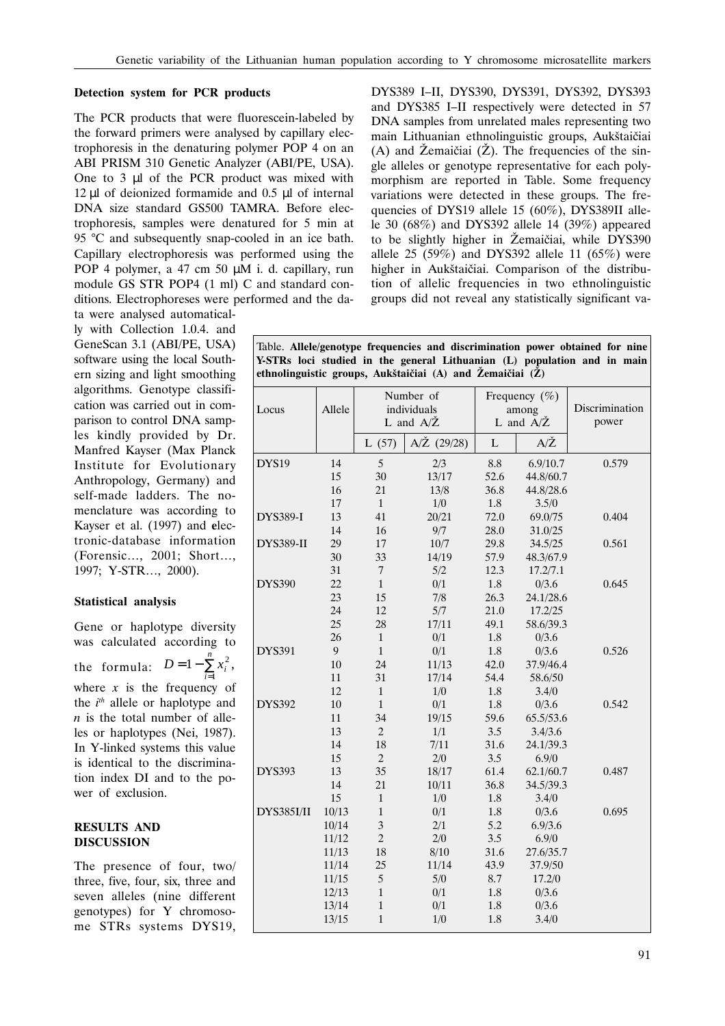# Detection system for PCR products

The PCR products that were fluorescein-labeled by the forward primers were analysed by capillary electrophoresis in the denaturing polymer POP 4 on an ABI PRISM 310 Genetic Analyzer (ABI/PE, USA). One to 3 µl of the PCR product was mixed with  $12 \mu$ l of deionized formamide and 0.5  $\mu$ l of internal DNA size standard GS500 TAMRA. Before electrophoresis, samples were denatured for 5 min at 95 °C and subsequently snap-cooled in an ice bath. Capillary electrophoresis was performed using the POP 4 polymer, a 47 cm 50  $\mu$ M i. d. capillary, run module GS STR POP4 (1 ml) C and standard conditions. Electrophoreses were performed and the data were analysed automatical-

ly with Collection 1.0.4. and GeneScan 3.1 (ABI/PE, USA) software using the local Southern sizing and light smoothing algorithms. Genotype classification was carried out in comparison to control DNA samples kindly provided by Dr. Manfred Kayser (Max Planck Institute for Evolutionary Anthropology, Germany) and self-made ladders. The nomenclature was according to Kayser et al. (1997) and electronic-database information (Forensic..., 2001; Short..., 1997; Y-STR..., 2000).

## Statistical analysis

Gene or haplotype diversity was calculated according to the formula:  $D=1-\sum_{i=1}^{n} x_i^2$ , where  $x$  is the frequency of the  $i^{th}$  allele or haplotype and  $n$  is the total number of alleles or haplotypes (Nei, 1987). In Y-linked systems this value is identical to the discrimination index DI and to the power of exclusion.

# **RESULTS AND DISCUSSION**

The presence of four, two/ three, five, four, six, three and seven alleles (nine different genotypes) for Y chromosome STRs systems DYS19, DYS389 I-II, DYS390, DYS391, DYS392, DYS393 and DYS385 I-II respectively were detected in 57 DNA samples from unrelated males representing two main Lithuanian ethnolinguistic groups, Aukštaičiai  $(A)$  and  $\check{Z}$ emaičiai  $(\check{Z})$ . The frequencies of the single alleles or genotype representative for each polymorphism are reported in Table. Some frequency variations were detected in these groups. The frequencies of DYS19 allele 15 (60%), DYS389II allele 30  $(68\%)$  and DYS392 allele 14  $(39\%)$  appeared to be slightly higher in Žemaičiai, while DYS390 allele 25 (59%) and DYS392 allele 11 (65%) were higher in Aukštaičiai. Comparison of the distribution of allelic frequencies in two ethnolinguistic groups did not reveal any statistically significant va-

Table. Allele/genotype frequencies and discrimination power obtained for nine Y-STRs loci studied in the general Lithuanian (L) population and in main ethnolinguistic groups, Aukštaičiai (A) and Žemaičiai (Ž)

| Locus            | Allele | Number of<br>individuals<br>L and $A/\check{Z}$ |                       | Frequency $(\% )$<br>among<br>L and $A/\check{Z}$ |               | Discrimination<br>power |
|------------------|--------|-------------------------------------------------|-----------------------|---------------------------------------------------|---------------|-------------------------|
|                  |        | L(57)                                           | $A/\check{Z}$ (29/28) | L                                                 | $A/\check{Z}$ |                         |
| <b>DYS19</b>     | 14     | 5                                               | 2/3                   | 8.8                                               | 6.9/10.7      | 0.579                   |
|                  | 15     | 30                                              | 13/17                 | 52.6                                              | 44.8/60.7     |                         |
|                  | 16     | 21                                              | 13/8                  | 36.8                                              | 44.8/28.6     |                         |
|                  | 17     | $\mathbf{1}$                                    | 1/0                   | 1.8                                               | 3.5/0         |                         |
| <b>DYS389-I</b>  | 13     | 41                                              | 20/21                 | 72.0                                              | 69.0/75       | 0.404                   |
|                  | 14     | 16                                              | 9/7                   | 28.0                                              | 31.0/25       |                         |
| <b>DYS389-II</b> | 29     | 17                                              | 10/7                  | 29.8                                              | 34.5/25       | 0.561                   |
|                  | 30     | 33                                              | 14/19                 | 57.9                                              | 48.3/67.9     |                         |
|                  | 31     | $\tau$                                          | 5/2                   | 12.3                                              | 17.2/7.1      |                         |
| <b>DYS390</b>    | 22     | $\mathbf{1}$                                    | 0/1                   | 1.8                                               | 0/3.6         | 0.645                   |
|                  | 23     | 15                                              | 7/8                   | 26.3                                              | 24.1/28.6     |                         |
|                  | 24     | 12                                              | 5/7                   | 21.0                                              | 17.2/25       |                         |
|                  | 25     | 28                                              | 17/11                 | 49.1                                              | 58.6/39.3     |                         |
|                  | 26     | $\mathbf{1}$                                    | 0/1                   | 1.8                                               | 0/3.6         |                         |
| <b>DYS391</b>    | 9      | $\mathbf{1}$                                    | 0/1                   | $1.8\,$                                           | 0/3.6         | 0.526                   |
|                  | 10     | 24                                              | 11/13                 | 42.0                                              | 37.9/46.4     |                         |
|                  | 11     | 31                                              | 17/14                 | 54.4                                              | 58.6/50       |                         |
|                  | 12     | $\mathbf{1}$                                    | 1/0                   | 1.8                                               | 3.4/0         |                         |
| <b>DYS392</b>    | 10     | $\mathbf{1}$                                    | 0/1                   | $1.8\,$                                           | 0/3.6         | 0.542                   |
|                  | 11     | 34                                              | 19/15                 | 59.6                                              | 65.5/53.6     |                         |
|                  | 13     | $\overline{2}$                                  | 1/1                   | 3.5                                               | 3.4/3.6       |                         |
|                  | 14     | 18                                              | 7/11                  | 31.6                                              | 24.1/39.3     |                         |
|                  | 15     | $\overline{c}$                                  | 2/0                   | 3.5                                               | 6.9/0         |                         |
| <b>DYS393</b>    | 13     | 35                                              | 18/17                 | 61.4                                              | 62.1/60.7     | 0.487                   |
|                  | 14     | 21                                              | 10/11                 | 36.8                                              | 34.5/39.3     |                         |
|                  | 15     | $\mathbf{1}$                                    | 1/0                   | 1.8                                               | 3.4/0         |                         |
| DYS385I/II       | 10/13  | $\mathbf{1}$                                    | 0/1                   | 1.8                                               | 0/3.6         | 0.695                   |
|                  | 10/14  | 3                                               | 2/1                   | 5.2                                               | 6.9/3.6       |                         |
|                  | 11/12  | $\overline{c}$                                  | 2/0                   | 3.5                                               | 6.9/0         |                         |
|                  | 11/13  | 18                                              | 8/10                  | 31.6                                              | 27.6/35.7     |                         |
|                  | 11/14  | 25                                              | 11/14                 | 43.9                                              | 37.9/50       |                         |
|                  | 11/15  | 5                                               | 5/0                   | 8.7                                               | 17.2/0        |                         |
|                  | 12/13  | $\mathbf{1}$                                    | 0/1                   | 1.8                                               | 0/3.6         |                         |
|                  | 13/14  | $\mathbf{1}$                                    | 0/1                   | $1.8\,$                                           | 0/3.6         |                         |
|                  | 13/15  | $\mathbf{1}$                                    | 1/0                   | 1.8                                               | 3.4/0         |                         |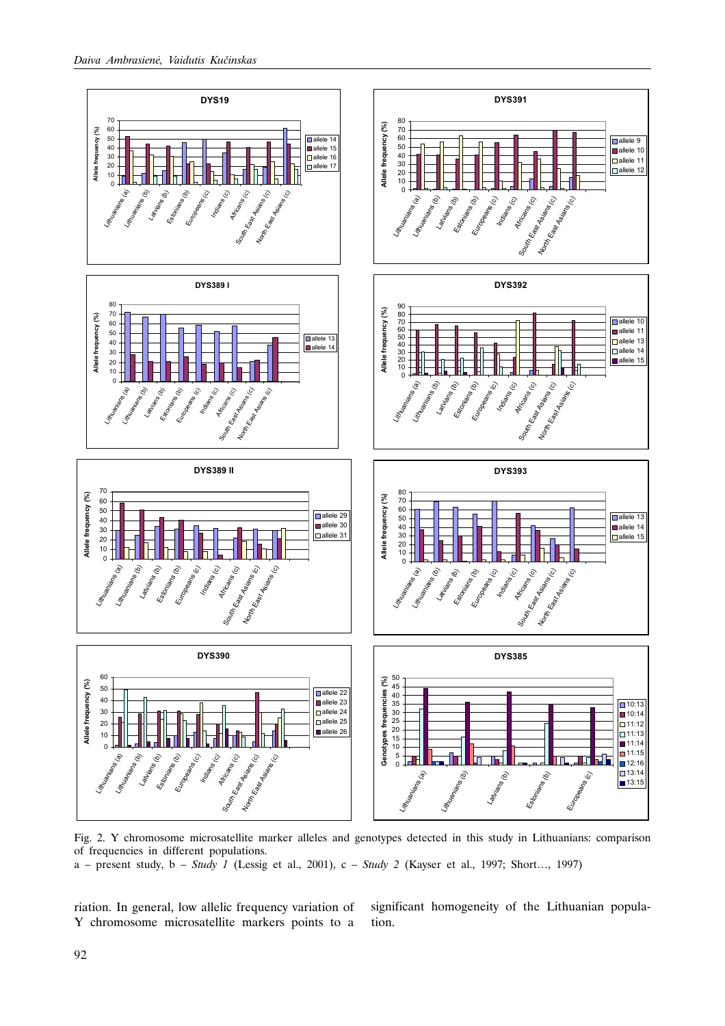

Fig. 2. Y chromosome microsatellite marker alleles and genotypes detected in this study in Lithuanians: comparison of frequencies in different populations. a – present study, b – Study 1 (Lessig et al., 2001), c – Study 2 (Kayser et al., 1997; Short..., 1997)

riation. In general, low allelic frequency variation of Y chromosome microsatellite markers points to a

significant homogeneity of the Lithuanian population.